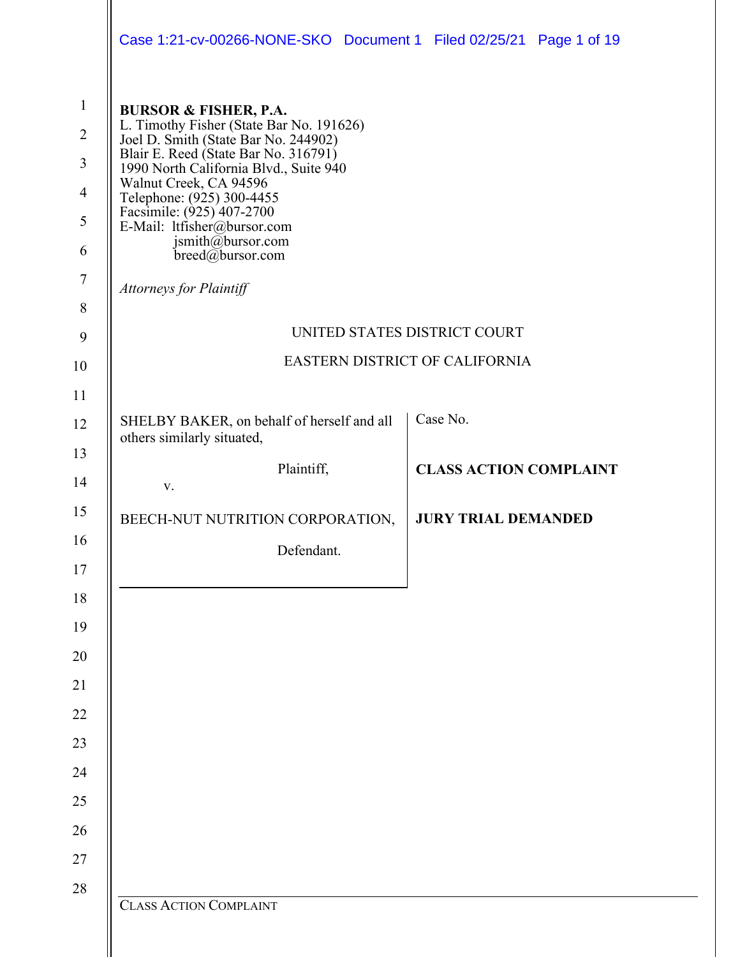|                | Case 1:21-cv-00266-NONE-SKO Document 1 Filed 02/25/21 Page 1 of 19               |  |                                |  |  |  |  |  |
|----------------|----------------------------------------------------------------------------------|--|--------------------------------|--|--|--|--|--|
| $\mathbf{1}$   | <b>BURSOR &amp; FISHER, P.A.</b>                                                 |  |                                |  |  |  |  |  |
| $\overline{2}$ | L. Timothy Fisher (State Bar No. 191626)<br>Joel D. Smith (State Bar No. 244902) |  |                                |  |  |  |  |  |
| 3              | Blair E. Reed (State Bar No. 316791)<br>1990 North California Blvd., Suite 940   |  |                                |  |  |  |  |  |
| $\overline{4}$ | Walnut Creek, CA 94596<br>Telephone: (925) 300-4455<br>Facsimile: (925) 407-2700 |  |                                |  |  |  |  |  |
| 5              | E-Mail: ltfisher@bursor.com                                                      |  |                                |  |  |  |  |  |
| 6              | jsmith@bursor.com<br>$breed(\vec{a})$ bursor.com                                 |  |                                |  |  |  |  |  |
| $\tau$         | <b>Attorneys for Plaintiff</b>                                                   |  |                                |  |  |  |  |  |
| 8              |                                                                                  |  |                                |  |  |  |  |  |
| 9              |                                                                                  |  | UNITED STATES DISTRICT COURT   |  |  |  |  |  |
| 10             |                                                                                  |  | EASTERN DISTRICT OF CALIFORNIA |  |  |  |  |  |
| 11             |                                                                                  |  |                                |  |  |  |  |  |
| 12             | SHELBY BAKER, on behalf of herself and all<br>others similarly situated,         |  | Case No.                       |  |  |  |  |  |
| 13             | Plaintiff,                                                                       |  | <b>CLASS ACTION COMPLAINT</b>  |  |  |  |  |  |
| 14             | V.                                                                               |  |                                |  |  |  |  |  |
| 15             | BEECH-NUT NUTRITION CORPORATION,                                                 |  | <b>JURY TRIAL DEMANDED</b>     |  |  |  |  |  |
| 16             | Defendant.                                                                       |  |                                |  |  |  |  |  |
| 17             |                                                                                  |  |                                |  |  |  |  |  |
| $18\,$         |                                                                                  |  |                                |  |  |  |  |  |
| 19<br>20       |                                                                                  |  |                                |  |  |  |  |  |
| 21             |                                                                                  |  |                                |  |  |  |  |  |
| $22\,$         |                                                                                  |  |                                |  |  |  |  |  |
| 23             |                                                                                  |  |                                |  |  |  |  |  |
| 24             |                                                                                  |  |                                |  |  |  |  |  |
| 25             |                                                                                  |  |                                |  |  |  |  |  |
| 26             |                                                                                  |  |                                |  |  |  |  |  |
| 27             |                                                                                  |  |                                |  |  |  |  |  |
| 28             |                                                                                  |  |                                |  |  |  |  |  |
|                | <b>CLASS ACTION COMPLAINT</b>                                                    |  |                                |  |  |  |  |  |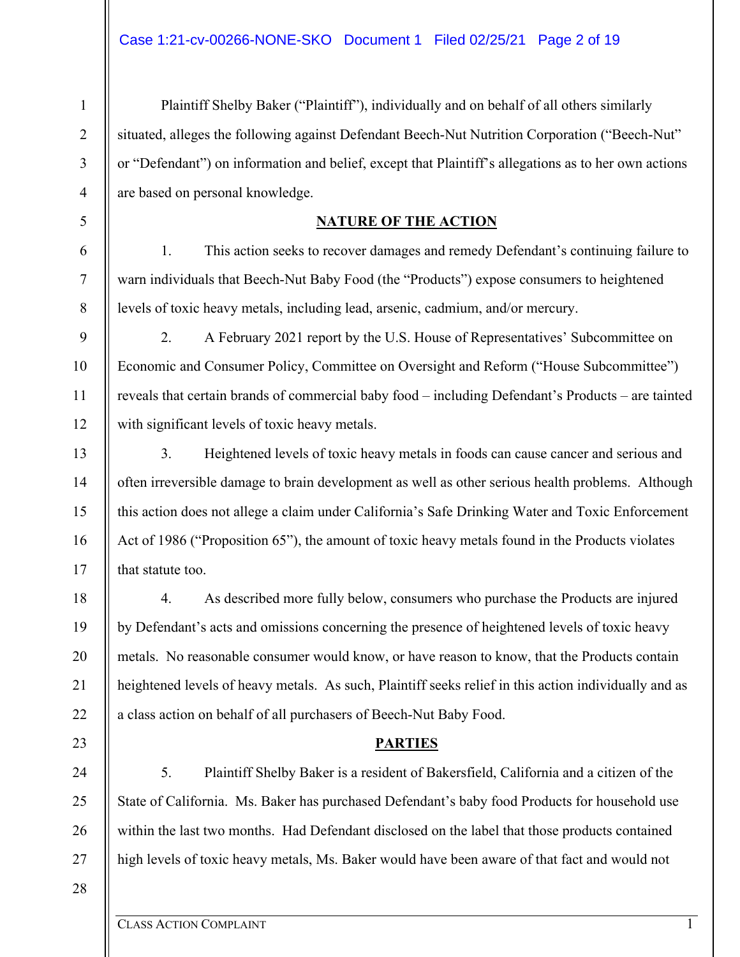Plaintiff Shelby Baker ("Plaintiff"), individually and on behalf of all others similarly situated, alleges the following against Defendant Beech-Nut Nutrition Corporation ("Beech-Nut" or "Defendant") on information and belief, except that Plaintiff's allegations as to her own actions are based on personal knowledge.

## **NATURE OF THE ACTION**

1. This action seeks to recover damages and remedy Defendant's continuing failure to warn individuals that Beech-Nut Baby Food (the "Products") expose consumers to heightened levels of toxic heavy metals, including lead, arsenic, cadmium, and/or mercury.

2. A February 2021 report by the U.S. House of Representatives' Subcommittee on Economic and Consumer Policy, Committee on Oversight and Reform ("House Subcommittee") reveals that certain brands of commercial baby food – including Defendant's Products – are tainted with significant levels of toxic heavy metals.

3. Heightened levels of toxic heavy metals in foods can cause cancer and serious and often irreversible damage to brain development as well as other serious health problems. Although this action does not allege a claim under California's Safe Drinking Water and Toxic Enforcement Act of 1986 ("Proposition 65"), the amount of toxic heavy metals found in the Products violates that statute too.

4. As described more fully below, consumers who purchase the Products are injured by Defendant's acts and omissions concerning the presence of heightened levels of toxic heavy metals. No reasonable consumer would know, or have reason to know, that the Products contain heightened levels of heavy metals. As such, Plaintiff seeks relief in this action individually and as a class action on behalf of all purchasers of Beech-Nut Baby Food.

## **PARTIES**

5. Plaintiff Shelby Baker is a resident of Bakersfield, California and a citizen of the State of California. Ms. Baker has purchased Defendant's baby food Products for household use within the last two months. Had Defendant disclosed on the label that those products contained high levels of toxic heavy metals, Ms. Baker would have been aware of that fact and would not

28

1

2

3

4

5

6

7

8

9

10

11

12

13

14

15

16

17

18

19

20

21

22

23

24

25

26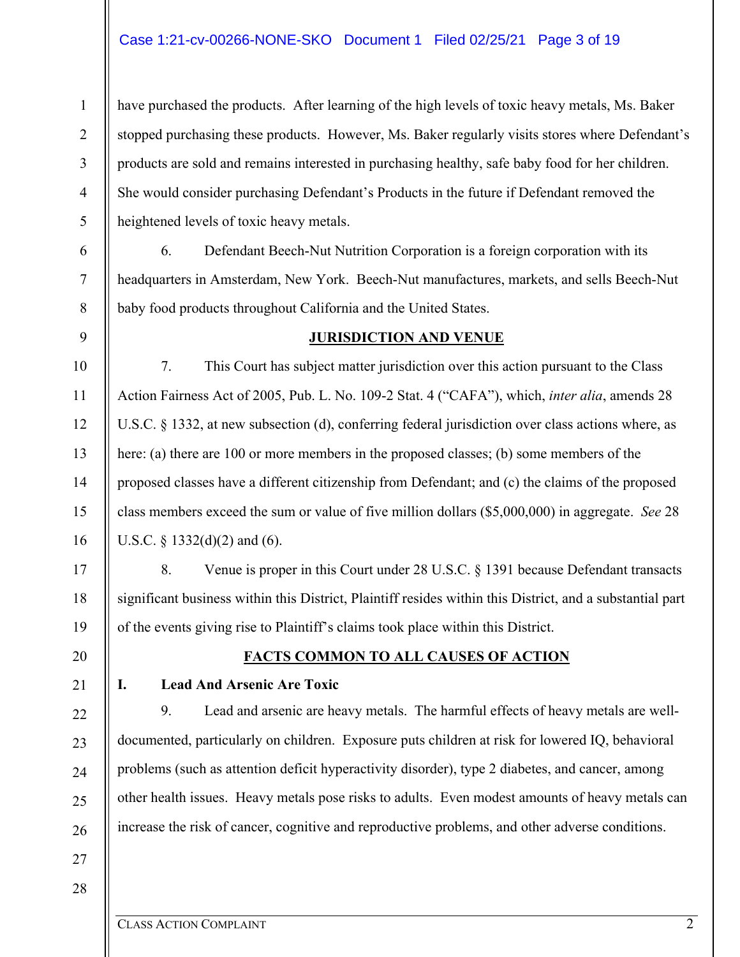#### Case 1:21-cv-00266-NONE-SKO Document 1 Filed 02/25/21 Page 3 of 19

have purchased the products. After learning of the high levels of toxic heavy metals, Ms. Baker stopped purchasing these products. However, Ms. Baker regularly visits stores where Defendant's products are sold and remains interested in purchasing healthy, safe baby food for her children. She would consider purchasing Defendant's Products in the future if Defendant removed the heightened levels of toxic heavy metals.

6 7 8 6. Defendant Beech-Nut Nutrition Corporation is a foreign corporation with its headquarters in Amsterdam, New York. Beech-Nut manufactures, markets, and sells Beech-Nut baby food products throughout California and the United States.

#### **JURISDICTION AND VENUE**

7. This Court has subject matter jurisdiction over this action pursuant to the Class Action Fairness Act of 2005, Pub. L. No. 109-2 Stat. 4 ("CAFA"), which, *inter alia*, amends 28 U.S.C. § 1332, at new subsection (d), conferring federal jurisdiction over class actions where, as here: (a) there are 100 or more members in the proposed classes; (b) some members of the proposed classes have a different citizenship from Defendant; and (c) the claims of the proposed class members exceed the sum or value of five million dollars (\$5,000,000) in aggregate. *See* 28 U.S.C. § 1332(d)(2) and (6).

8. Venue is proper in this Court under 28 U.S.C. § 1391 because Defendant transacts significant business within this District, Plaintiff resides within this District, and a substantial part of the events giving rise to Plaintiff's claims took place within this District.

20

1

2

3

4

5

9

10

11

12

13

14

15

16

17

18

19

21

22

23

24

25

26

## **FACTS COMMON TO ALL CAUSES OF ACTION**

#### **I. Lead And Arsenic Are Toxic**

9. Lead and arsenic are heavy metals. The harmful effects of heavy metals are welldocumented, particularly on children. Exposure puts children at risk for lowered IQ, behavioral problems (such as attention deficit hyperactivity disorder), type 2 diabetes, and cancer, among other health issues. Heavy metals pose risks to adults. Even modest amounts of heavy metals can increase the risk of cancer, cognitive and reproductive problems, and other adverse conditions.

28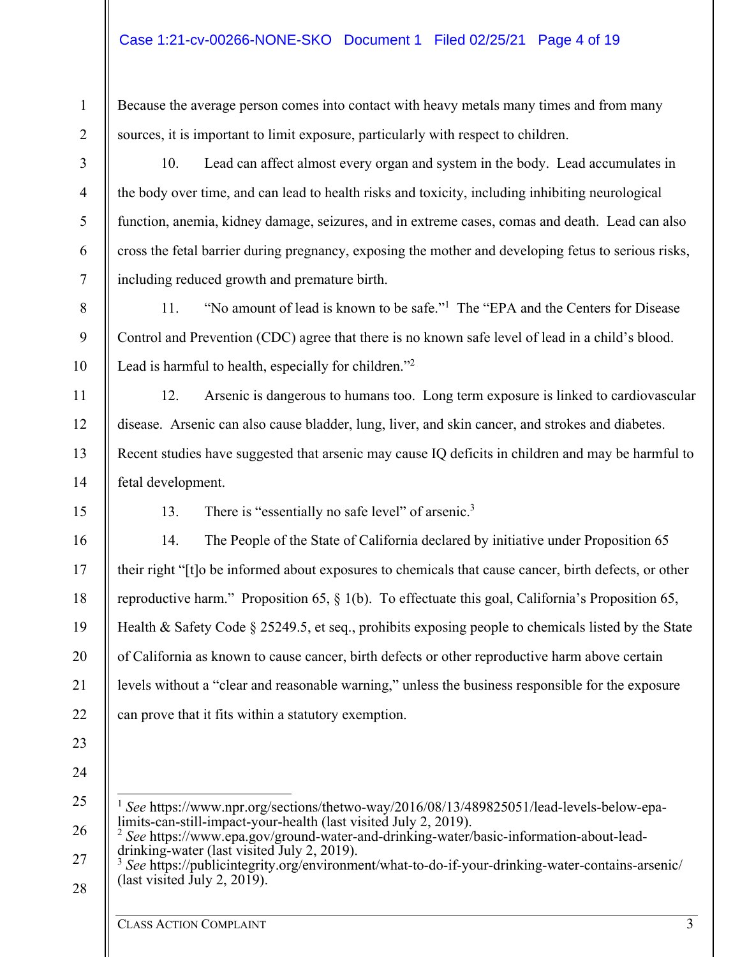Because the average person comes into contact with heavy metals many times and from many sources, it is important to limit exposure, particularly with respect to children.

3

1

2

4

5

6

7

8

9

10

11

12

13

14

15

16

17

18

19

20

21

22

23

24

10. Lead can affect almost every organ and system in the body. Lead accumulates in the body over time, and can lead to health risks and toxicity, including inhibiting neurological function, anemia, kidney damage, seizures, and in extreme cases, comas and death. Lead can also cross the fetal barrier during pregnancy, exposing the mother and developing fetus to serious risks, including reduced growth and premature birth.

11. "No amount of lead is known to be safe."<sup>1</sup> The "EPA and the Centers for Disease Control and Prevention (CDC) agree that there is no known safe level of lead in a child's blood. Lead is harmful to health, especially for children."<sup>2</sup>

12. Arsenic is dangerous to humans too. Long term exposure is linked to cardiovascular disease. Arsenic can also cause bladder, lung, liver, and skin cancer, and strokes and diabetes. Recent studies have suggested that arsenic may cause IQ deficits in children and may be harmful to fetal development.

13. There is "essentially no safe level" of arsenic.<sup>3</sup>

14. The People of the State of California declared by initiative under Proposition 65 their right "[t]o be informed about exposures to chemicals that cause cancer, birth defects, or other reproductive harm." Proposition 65, § 1(b). To effectuate this goal, California's Proposition 65, Health & Safety Code § 25249.5, et seq., prohibits exposing people to chemicals listed by the State of California as known to cause cancer, birth defects or other reproductive harm above certain levels without a "clear and reasonable warning," unless the business responsible for the exposure can prove that it fits within a statutory exemption.

25 <sup>1</sup> *See* https://www.npr.org/sections/thetwo-way/2016/08/13/489825051/lead-levels-below-epa-<br>limits-can-still-impact-your-health (last visited July 2, 2019).

<sup>26</sup>  <sup>2</sup> See https://www.epa.gov/ground-water-and-drinking-water/basic-information-about-leaddrinking-water (last visited July 2, 2019).

<sup>27</sup>  28 <sup>3</sup> *See* https://publicintegrity.org/environment/what-to-do-if-your-drinking-water-contains-arsenic/ (last visited  $\text{July } 2, 2019$ ).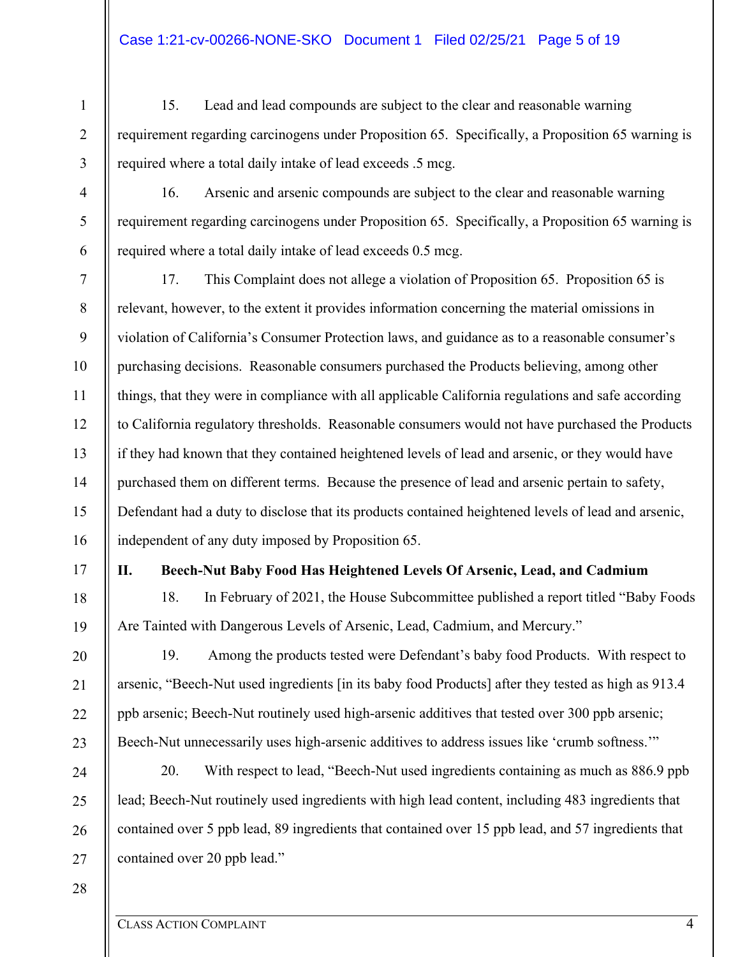- 15. Lead and lead compounds are subject to the clear and reasonable warning requirement regarding carcinogens under Proposition 65. Specifically, a Proposition 65 warning is required where a total daily intake of lead exceeds .5 mcg.
- 16. Arsenic and arsenic compounds are subject to the clear and reasonable warning requirement regarding carcinogens under Proposition 65. Specifically, a Proposition 65 warning is required where a total daily intake of lead exceeds 0.5 mcg.
- 7 8 9 10 11 12 13 14 15 16 17. This Complaint does not allege a violation of Proposition 65. Proposition 65 is relevant, however, to the extent it provides information concerning the material omissions in violation of California's Consumer Protection laws, and guidance as to a reasonable consumer's purchasing decisions. Reasonable consumers purchased the Products believing, among other things, that they were in compliance with all applicable California regulations and safe according to California regulatory thresholds. Reasonable consumers would not have purchased the Products if they had known that they contained heightened levels of lead and arsenic, or they would have purchased them on different terms. Because the presence of lead and arsenic pertain to safety, Defendant had a duty to disclose that its products contained heightened levels of lead and arsenic, independent of any duty imposed by Proposition 65.
- 17

18

19

20

21

22

23

1

2

3

4

5

6

## **II. Beech-Nut Baby Food Has Heightened Levels Of Arsenic, Lead, and Cadmium**

18. In February of 2021, the House Subcommittee published a report titled "Baby Foods Are Tainted with Dangerous Levels of Arsenic, Lead, Cadmium, and Mercury."

19. Among the products tested were Defendant's baby food Products. With respect to arsenic, "Beech-Nut used ingredients [in its baby food Products] after they tested as high as 913.4 ppb arsenic; Beech-Nut routinely used high-arsenic additives that tested over 300 ppb arsenic; Beech-Nut unnecessarily uses high-arsenic additives to address issues like 'crumb softness."

24 25 26 27 20. With respect to lead, "Beech-Nut used ingredients containing as much as 886.9 ppb lead; Beech-Nut routinely used ingredients with high lead content, including 483 ingredients that contained over 5 ppb lead, 89 ingredients that contained over 15 ppb lead, and 57 ingredients that contained over 20 ppb lead."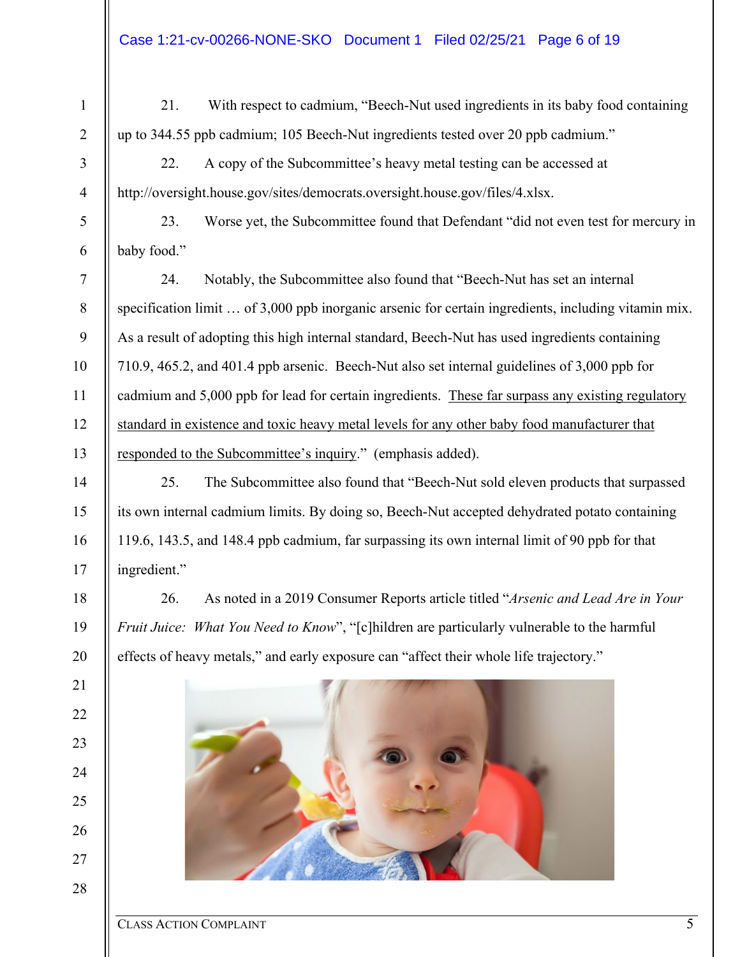6

7

8

9

10

11

12

13

14

15

16

17

18

19

20

21

22

23

24

25

26

27

28

1

21. With respect to cadmium, "Beech-Nut used ingredients in its baby food containing up to 344.55 ppb cadmium; 105 Beech-Nut ingredients tested over 20 ppb cadmium."

22. A copy of the Subcommittee's heavy metal testing can be accessed at http://oversight.house.gov/sites/democrats.oversight.house.gov/files/4.xlsx.

23. Worse yet, the Subcommittee found that Defendant "did not even test for mercury in baby food."

24. Notably, the Subcommittee also found that "Beech-Nut has set an internal specification limit ... of 3,000 ppb inorganic arsenic for certain ingredients, including vitamin mix. As a result of adopting this high internal standard, Beech-Nut has used ingredients containing 710.9, 465.2, and 401.4 ppb arsenic. Beech-Nut also set internal guidelines of 3,000 ppb for cadmium and 5,000 ppb for lead for certain ingredients. These far surpass any existing regulatory standard in existence and toxic heavy metal levels for any other baby food manufacturer that responded to the Subcommittee's inquiry." (emphasis added).

25. The Subcommittee also found that "Beech-Nut sold eleven products that surpassed its own internal cadmium limits. By doing so, Beech-Nut accepted dehydrated potato containing 119.6, 143.5, and 148.4 ppb cadmium, far surpassing its own internal limit of 90 ppb for that ingredient."

26. As noted in a 2019 Consumer Reports article titled "*Arsenic and Lead Are in Your Fruit Juice: What You Need to Know*", "[c]hildren are particularly vulnerable to the harmful effects of heavy metals," and early exposure can "affect their whole life trajectory."



#### CLASS ACTION COMPLAINT 5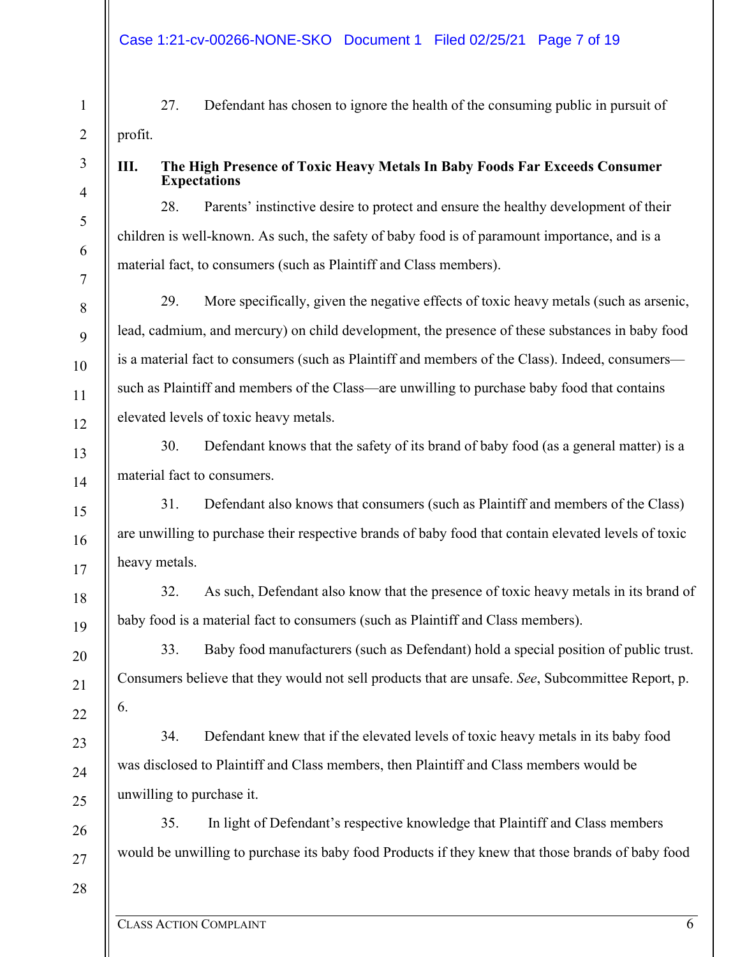27. Defendant has chosen to ignore the health of the consuming public in pursuit of profit.

## **III. The High Presence of Toxic Heavy Metals In Baby Foods Far Exceeds Consumer Expectations**

28. Parents' instinctive desire to protect and ensure the healthy development of their children is well-known. As such, the safety of baby food is of paramount importance, and is a material fact, to consumers (such as Plaintiff and Class members).

29. More specifically, given the negative effects of toxic heavy metals (such as arsenic, lead, cadmium, and mercury) on child development, the presence of these substances in baby food is a material fact to consumers (such as Plaintiff and members of the Class). Indeed, consumers such as Plaintiff and members of the Class—are unwilling to purchase baby food that contains elevated levels of toxic heavy metals.

30. Defendant knows that the safety of its brand of baby food (as a general matter) is a material fact to consumers.

31. Defendant also knows that consumers (such as Plaintiff and members of the Class) are unwilling to purchase their respective brands of baby food that contain elevated levels of toxic heavy metals.

32. As such, Defendant also know that the presence of toxic heavy metals in its brand of baby food is a material fact to consumers (such as Plaintiff and Class members).

33. Baby food manufacturers (such as Defendant) hold a special position of public trust. Consumers believe that they would not sell products that are unsafe. *See*, Subcommittee Report, p. 6.

34. Defendant knew that if the elevated levels of toxic heavy metals in its baby food was disclosed to Plaintiff and Class members, then Plaintiff and Class members would be unwilling to purchase it.

35. In light of Defendant's respective knowledge that Plaintiff and Class members would be unwilling to purchase its baby food Products if they knew that those brands of baby food

27 28

1

2

3

4

5

6

7

8

9

10

11

12

13

14

15

16

17

18

19

20

21

22

23

24

25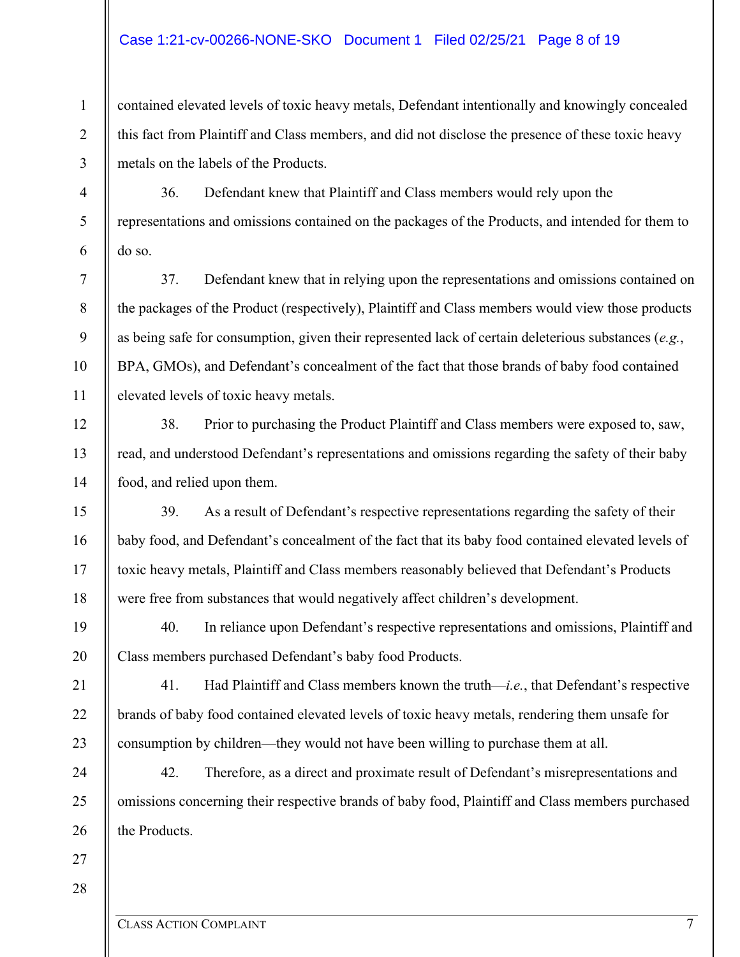#### Case 1:21-cv-00266-NONE-SKO Document 1 Filed 02/25/21 Page 8 of 19

contained elevated levels of toxic heavy metals, Defendant intentionally and knowingly concealed this fact from Plaintiff and Class members, and did not disclose the presence of these toxic heavy metals on the labels of the Products.

36. Defendant knew that Plaintiff and Class members would rely upon the representations and omissions contained on the packages of the Products, and intended for them to do so.

37. Defendant knew that in relying upon the representations and omissions contained on the packages of the Product (respectively), Plaintiff and Class members would view those products as being safe for consumption, given their represented lack of certain deleterious substances (*e.g.*, BPA, GMOs), and Defendant's concealment of the fact that those brands of baby food contained elevated levels of toxic heavy metals.

38. Prior to purchasing the Product Plaintiff and Class members were exposed to, saw, read, and understood Defendant's representations and omissions regarding the safety of their baby food, and relied upon them.

39. As a result of Defendant's respective representations regarding the safety of their baby food, and Defendant's concealment of the fact that its baby food contained elevated levels of toxic heavy metals, Plaintiff and Class members reasonably believed that Defendant's Products were free from substances that would negatively affect children's development.

40. In reliance upon Defendant's respective representations and omissions, Plaintiff and Class members purchased Defendant's baby food Products.

41. Had Plaintiff and Class members known the truth—*i.e.*, that Defendant's respective brands of baby food contained elevated levels of toxic heavy metals, rendering them unsafe for consumption by children—they would not have been willing to purchase them at all.

24 42. Therefore, as a direct and proximate result of Defendant's misrepresentations and omissions concerning their respective brands of baby food, Plaintiff and Class members purchased the Products.

1

2

3

4

5

6

7

8

9

10

11

12

13

14

15

16

17

18

19

20

21

22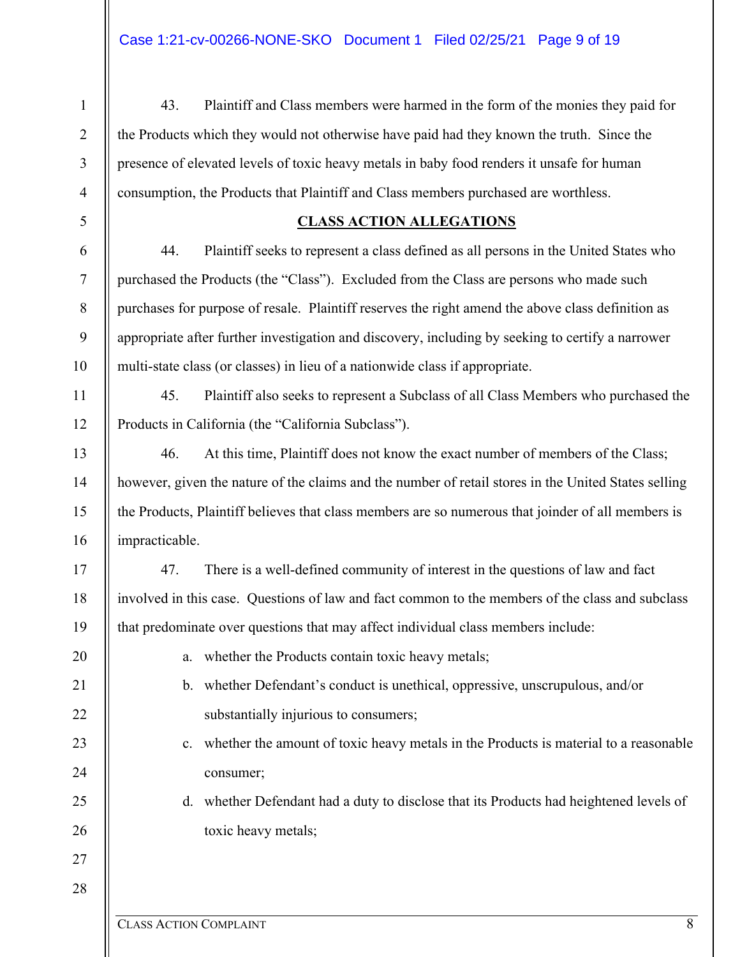| $\mathbf{1}$   | Plaintiff and Class members were harmed in the form of the monies they paid for<br>43.               |  |  |  |  |
|----------------|------------------------------------------------------------------------------------------------------|--|--|--|--|
| $\overline{2}$ | the Products which they would not otherwise have paid had they known the truth. Since the            |  |  |  |  |
| $\overline{3}$ | presence of elevated levels of toxic heavy metals in baby food renders it unsafe for human           |  |  |  |  |
| $\overline{4}$ | consumption, the Products that Plaintiff and Class members purchased are worthless.                  |  |  |  |  |
| 5              | <b>CLASS ACTION ALLEGATIONS</b>                                                                      |  |  |  |  |
| 6              | 44.<br>Plaintiff seeks to represent a class defined as all persons in the United States who          |  |  |  |  |
| $\tau$         | purchased the Products (the "Class"). Excluded from the Class are persons who made such              |  |  |  |  |
| $\,8\,$        | purchases for purpose of resale. Plaintiff reserves the right amend the above class definition as    |  |  |  |  |
| 9              | appropriate after further investigation and discovery, including by seeking to certify a narrower    |  |  |  |  |
| 10             | multi-state class (or classes) in lieu of a nationwide class if appropriate.                         |  |  |  |  |
| 11             | 45.<br>Plaintiff also seeks to represent a Subclass of all Class Members who purchased the           |  |  |  |  |
| 12             | Products in California (the "California Subclass").                                                  |  |  |  |  |
| 13             | 46.<br>At this time, Plaintiff does not know the exact number of members of the Class;               |  |  |  |  |
| 14             | however, given the nature of the claims and the number of retail stores in the United States selling |  |  |  |  |
| 15             | the Products, Plaintiff believes that class members are so numerous that joinder of all members is   |  |  |  |  |
| 16             | impracticable.                                                                                       |  |  |  |  |
| 17             | 47.<br>There is a well-defined community of interest in the questions of law and fact                |  |  |  |  |
| 18             | involved in this case. Questions of law and fact common to the members of the class and subclass     |  |  |  |  |
| 19             | that predominate over questions that may affect individual class members include:                    |  |  |  |  |
| 20             | whether the Products contain toxic heavy metals;<br>a.                                               |  |  |  |  |
| 21             | b. whether Defendant's conduct is unethical, oppressive, unscrupulous, and/or                        |  |  |  |  |
| 22             | substantially injurious to consumers;                                                                |  |  |  |  |
| 23             | whether the amount of toxic heavy metals in the Products is material to a reasonable<br>c.           |  |  |  |  |
| 24             | consumer;                                                                                            |  |  |  |  |
| 25             | whether Defendant had a duty to disclose that its Products had heightened levels of<br>d.            |  |  |  |  |
| 26             | toxic heavy metals;                                                                                  |  |  |  |  |
| 27             |                                                                                                      |  |  |  |  |
| 28             |                                                                                                      |  |  |  |  |
|                |                                                                                                      |  |  |  |  |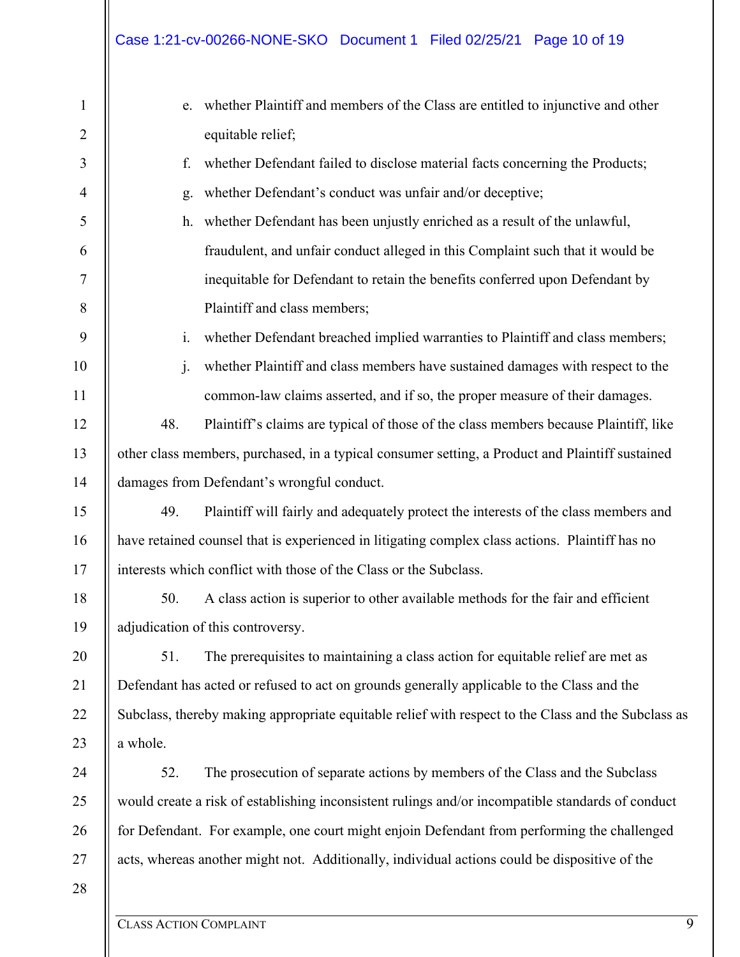# Case 1:21-cv-00266-NONE-SKO Document 1 Filed 02/25/21 Page 10 of 19

| $\mathbf{1}$   | e. whether Plaintiff and members of the Class are entitled to injunctive and other                  |  |  |  |  |
|----------------|-----------------------------------------------------------------------------------------------------|--|--|--|--|
| $\overline{2}$ | equitable relief;                                                                                   |  |  |  |  |
| 3              | whether Defendant failed to disclose material facts concerning the Products;<br>f.                  |  |  |  |  |
| $\overline{4}$ | whether Defendant's conduct was unfair and/or deceptive;<br>g.                                      |  |  |  |  |
| $\mathfrak{S}$ | whether Defendant has been unjustly enriched as a result of the unlawful,<br>h.                     |  |  |  |  |
| 6              | fraudulent, and unfair conduct alleged in this Complaint such that it would be                      |  |  |  |  |
| $\tau$         | inequitable for Defendant to retain the benefits conferred upon Defendant by                        |  |  |  |  |
| 8              | Plaintiff and class members;                                                                        |  |  |  |  |
| 9              | whether Defendant breached implied warranties to Plaintiff and class members;<br>i.                 |  |  |  |  |
| 10             | whether Plaintiff and class members have sustained damages with respect to the<br>$\mathbf{j}$ .    |  |  |  |  |
| 11             | common-law claims asserted, and if so, the proper measure of their damages.                         |  |  |  |  |
| 12             | Plaintiff's claims are typical of those of the class members because Plaintiff, like<br>48.         |  |  |  |  |
| 13             | other class members, purchased, in a typical consumer setting, a Product and Plaintiff sustained    |  |  |  |  |
| 14             | damages from Defendant's wrongful conduct.                                                          |  |  |  |  |
| 15             | Plaintiff will fairly and adequately protect the interests of the class members and<br>49.          |  |  |  |  |
| 16             | have retained counsel that is experienced in litigating complex class actions. Plaintiff has no     |  |  |  |  |
| 17             | interests which conflict with those of the Class or the Subclass.                                   |  |  |  |  |
| 18             | A class action is superior to other available methods for the fair and efficient<br>50.             |  |  |  |  |
| 19             | adjudication of this controversy.                                                                   |  |  |  |  |
| 20             | 51.<br>The prerequisites to maintaining a class action for equitable relief are met as              |  |  |  |  |
| 21             | Defendant has acted or refused to act on grounds generally applicable to the Class and the          |  |  |  |  |
| 22             | Subclass, thereby making appropriate equitable relief with respect to the Class and the Subclass as |  |  |  |  |
| 23             | a whole.                                                                                            |  |  |  |  |
| 24             | 52.<br>The prosecution of separate actions by members of the Class and the Subclass                 |  |  |  |  |
| 25             | would create a risk of establishing inconsistent rulings and/or incompatible standards of conduct   |  |  |  |  |
| 26             | for Defendant. For example, one court might enjoin Defendant from performing the challenged         |  |  |  |  |
| 27             | acts, whereas another might not. Additionally, individual actions could be dispositive of the       |  |  |  |  |
| 28             |                                                                                                     |  |  |  |  |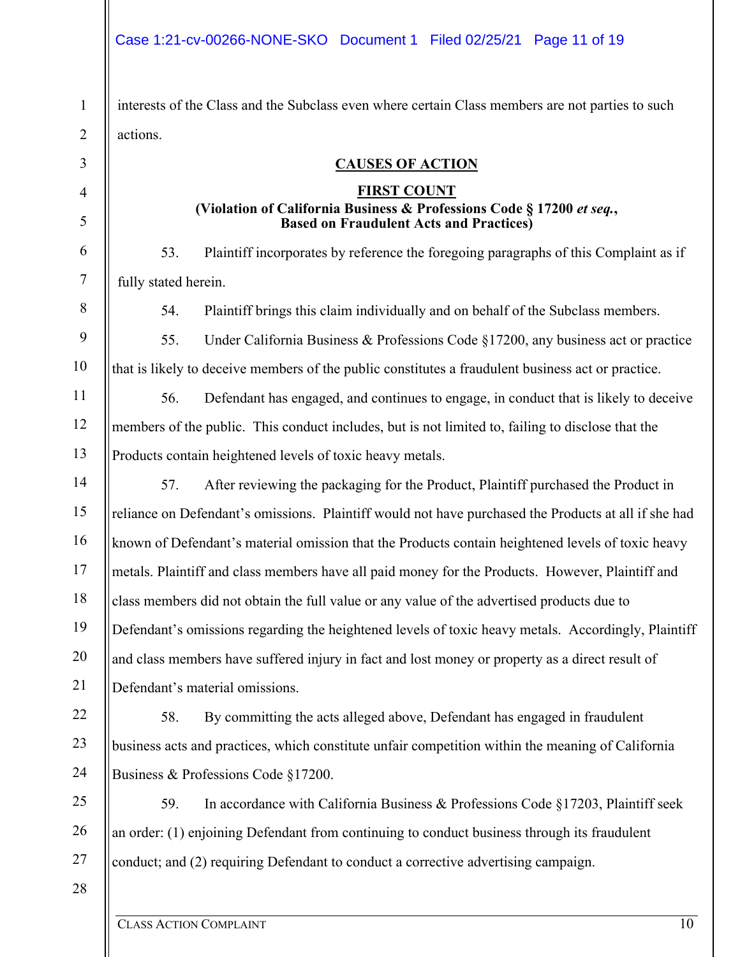#### Case 1:21-cv-00266-NONE-SKO Document 1 Filed 02/25/21 Page 11 of 19

interests of the Class and the Subclass even where certain Class members are not parties to such actions.

#### **CAUSES OF ACTION**

#### **FIRST COUNT (Violation of California Business & Professions Code § 17200** *et seq.***, Based on Fraudulent Acts and Practices)**

53. Plaintiff incorporates by reference the foregoing paragraphs of this Complaint as if fully stated herein.

54. Plaintiff brings this claim individually and on behalf of the Subclass members.

55. Under California Business & Professions Code §17200, any business act or practice that is likely to deceive members of the public constitutes a fraudulent business act or practice.

56. Defendant has engaged, and continues to engage, in conduct that is likely to deceive members of the public. This conduct includes, but is not limited to, failing to disclose that the Products contain heightened levels of toxic heavy metals.

14 15 16 17 18 19 20 21 57. After reviewing the packaging for the Product, Plaintiff purchased the Product in reliance on Defendant's omissions. Plaintiff would not have purchased the Products at all if she had known of Defendant's material omission that the Products contain heightened levels of toxic heavy metals. Plaintiff and class members have all paid money for the Products. However, Plaintiff and class members did not obtain the full value or any value of the advertised products due to Defendant's omissions regarding the heightened levels of toxic heavy metals. Accordingly, Plaintiff and class members have suffered injury in fact and lost money or property as a direct result of Defendant's material omissions.

22 23 24 58. By committing the acts alleged above, Defendant has engaged in fraudulent business acts and practices, which constitute unfair competition within the meaning of California Business & Professions Code §17200.

25 26 27 59. In accordance with California Business & Professions Code §17203, Plaintiff seek an order: (1) enjoining Defendant from continuing to conduct business through its fraudulent conduct; and (2) requiring Defendant to conduct a corrective advertising campaign.

28

1

2

3

4

5

6

7

8

9

10

11

12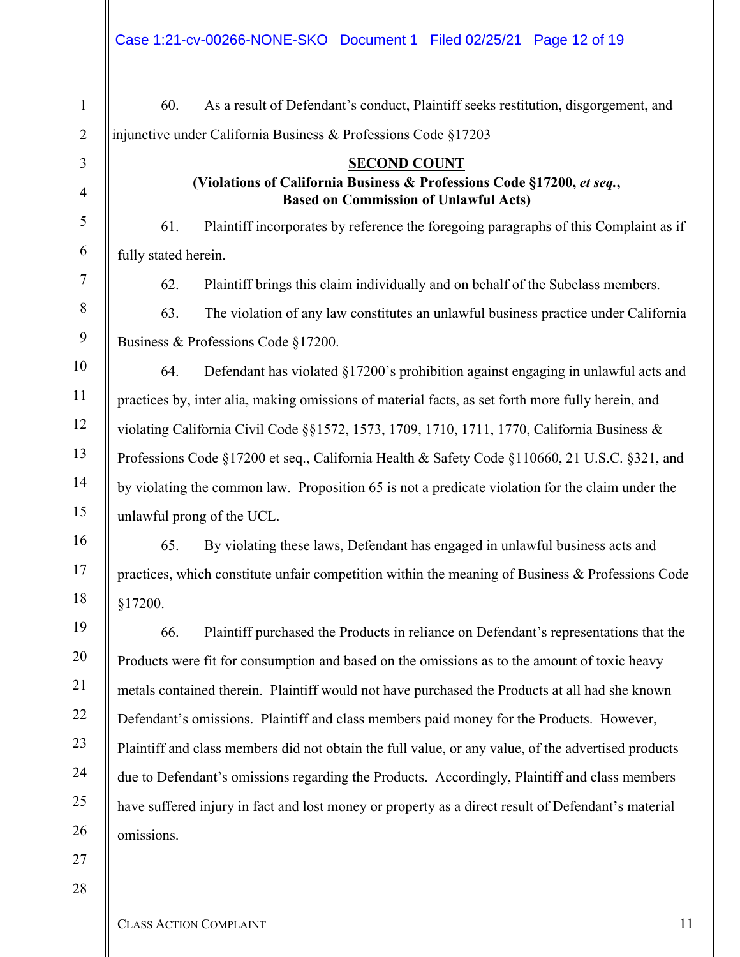| $\mathbf{1}$     | As a result of Defendant's conduct, Plaintiff seeks restitution, disgorgement, and<br>60.                              |  |  |  |  |
|------------------|------------------------------------------------------------------------------------------------------------------------|--|--|--|--|
| $\overline{2}$   | injunctive under California Business & Professions Code §17203                                                         |  |  |  |  |
| 3                | <b>SECOND COUNT</b>                                                                                                    |  |  |  |  |
| $\overline{4}$   | (Violations of California Business & Professions Code §17200, et seq.,<br><b>Based on Commission of Unlawful Acts)</b> |  |  |  |  |
| $\mathfrak s$    | 61.<br>Plaintiff incorporates by reference the foregoing paragraphs of this Complaint as if                            |  |  |  |  |
| 6                | fully stated herein.                                                                                                   |  |  |  |  |
| $\tau$           | 62.<br>Plaintiff brings this claim individually and on behalf of the Subclass members.                                 |  |  |  |  |
| $8\,$            | 63.<br>The violation of any law constitutes an unlawful business practice under California                             |  |  |  |  |
| $\boldsymbol{9}$ | Business & Professions Code §17200.                                                                                    |  |  |  |  |
| 10               | Defendant has violated §17200's prohibition against engaging in unlawful acts and<br>64.                               |  |  |  |  |
| 11               | practices by, inter alia, making omissions of material facts, as set forth more fully herein, and                      |  |  |  |  |
| 12               | violating California Civil Code §§1572, 1573, 1709, 1710, 1711, 1770, California Business &                            |  |  |  |  |
| 13               | Professions Code §17200 et seq., California Health & Safety Code §110660, 21 U.S.C. §321, and                          |  |  |  |  |
| 14               | by violating the common law. Proposition 65 is not a predicate violation for the claim under the                       |  |  |  |  |
| 15               | unlawful prong of the UCL.                                                                                             |  |  |  |  |
| 16               | 65.<br>By violating these laws, Defendant has engaged in unlawful business acts and                                    |  |  |  |  |
| 17               | practices, which constitute unfair competition within the meaning of Business $\&$ Professions Code                    |  |  |  |  |
| 18               | §17200.                                                                                                                |  |  |  |  |
| 19               | 66.<br>Plaintiff purchased the Products in reliance on Defendant's representations that the                            |  |  |  |  |
| 20               | Products were fit for consumption and based on the omissions as to the amount of toxic heavy                           |  |  |  |  |
| 21               | metals contained therein. Plaintiff would not have purchased the Products at all had she known                         |  |  |  |  |
| 22               | Defendant's omissions. Plaintiff and class members paid money for the Products. However,                               |  |  |  |  |
| 23               | Plaintiff and class members did not obtain the full value, or any value, of the advertised products                    |  |  |  |  |
| 24               | due to Defendant's omissions regarding the Products. Accordingly, Plaintiff and class members                          |  |  |  |  |
| 25               | have suffered injury in fact and lost money or property as a direct result of Defendant's material                     |  |  |  |  |
| 26               | omissions.                                                                                                             |  |  |  |  |
| 27               |                                                                                                                        |  |  |  |  |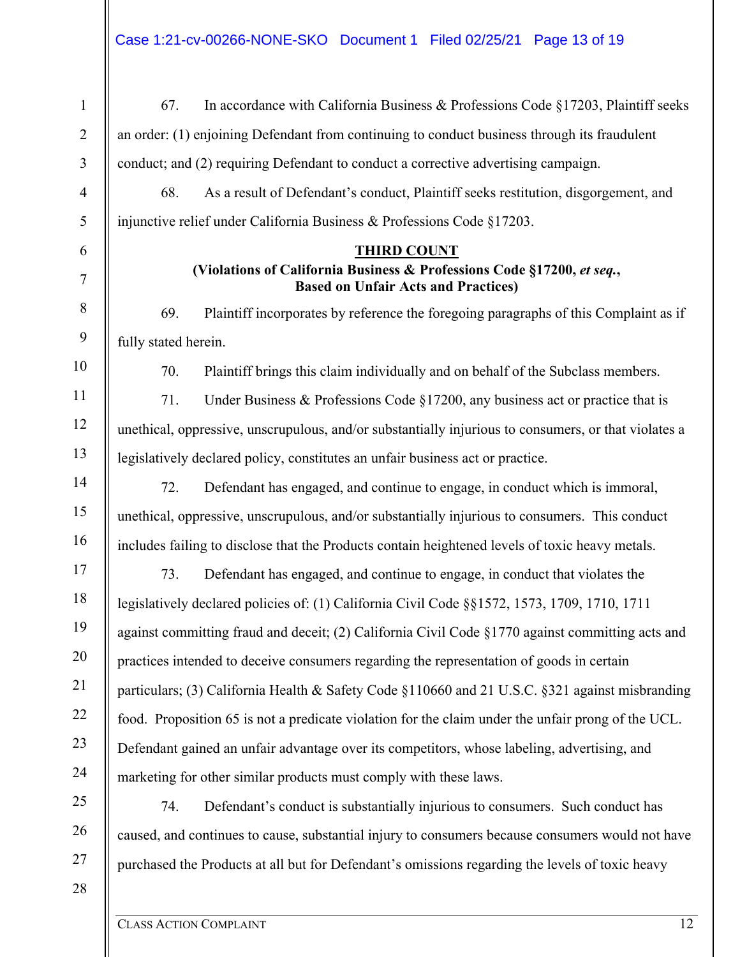| $\mathbf{1}$   | In accordance with California Business & Professions Code §17203, Plaintiff seeks<br>67.                             |  |  |  |  |
|----------------|----------------------------------------------------------------------------------------------------------------------|--|--|--|--|
| $\overline{2}$ | an order: (1) enjoining Defendant from continuing to conduct business through its fraudulent                         |  |  |  |  |
| 3              | conduct; and (2) requiring Defendant to conduct a corrective advertising campaign.                                   |  |  |  |  |
| $\overline{4}$ | As a result of Defendant's conduct, Plaintiff seeks restitution, disgorgement, and<br>68.                            |  |  |  |  |
| 5              | injunctive relief under California Business & Professions Code §17203.                                               |  |  |  |  |
| 6              | <b>THIRD COUNT</b>                                                                                                   |  |  |  |  |
| $\tau$         | (Violations of California Business & Professions Code §17200, et seq.,<br><b>Based on Unfair Acts and Practices)</b> |  |  |  |  |
| $8\,$          | 69.<br>Plaintiff incorporates by reference the foregoing paragraphs of this Complaint as if                          |  |  |  |  |
| $\mathbf{9}$   | fully stated herein.                                                                                                 |  |  |  |  |
| 10             | Plaintiff brings this claim individually and on behalf of the Subclass members.<br>70.                               |  |  |  |  |
| 11             | 71.<br>Under Business & Professions Code $\S17200$ , any business act or practice that is                            |  |  |  |  |
| 12             | unethical, oppressive, unscrupulous, and/or substantially injurious to consumers, or that violates a                 |  |  |  |  |
| 13             | legislatively declared policy, constitutes an unfair business act or practice.                                       |  |  |  |  |
| 14             | 72.<br>Defendant has engaged, and continue to engage, in conduct which is immoral,                                   |  |  |  |  |
| 15             | unethical, oppressive, unscrupulous, and/or substantially injurious to consumers. This conduct                       |  |  |  |  |
| 16             | includes failing to disclose that the Products contain heightened levels of toxic heavy metals.                      |  |  |  |  |
| 17             | 73.<br>Defendant has engaged, and continue to engage, in conduct that violates the                                   |  |  |  |  |
| 18             | legislatively declared policies of: (1) California Civil Code §§1572, 1573, 1709, 1710, 1711                         |  |  |  |  |
| 19             | against committing fraud and deceit; (2) California Civil Code §1770 against committing acts and                     |  |  |  |  |
| 20             | practices intended to deceive consumers regarding the representation of goods in certain                             |  |  |  |  |
| 21             | particulars; (3) California Health & Safety Code §110660 and 21 U.S.C. §321 against misbranding                      |  |  |  |  |
| 22             | food. Proposition 65 is not a predicate violation for the claim under the unfair prong of the UCL.                   |  |  |  |  |
| 23             | Defendant gained an unfair advantage over its competitors, whose labeling, advertising, and                          |  |  |  |  |
| 24             | marketing for other similar products must comply with these laws.                                                    |  |  |  |  |
| 25             | 74.<br>Defendant's conduct is substantially injurious to consumers. Such conduct has                                 |  |  |  |  |
| 26             | caused, and continues to cause, substantial injury to consumers because consumers would not have                     |  |  |  |  |
| 27             | purchased the Products at all but for Defendant's omissions regarding the levels of toxic heavy                      |  |  |  |  |
| 28             |                                                                                                                      |  |  |  |  |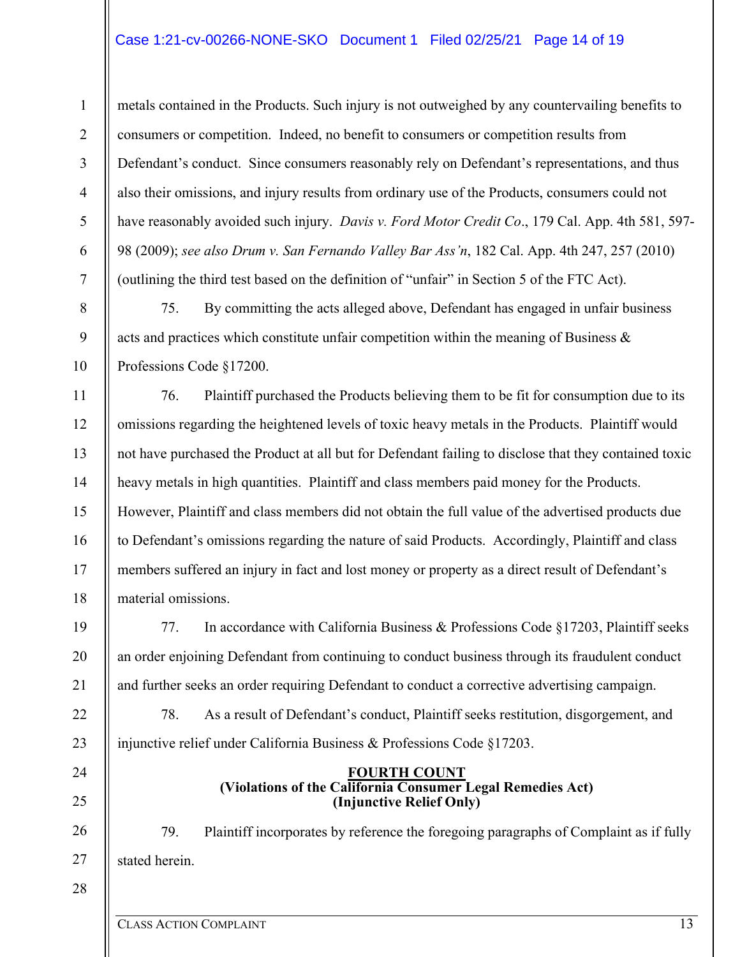metals contained in the Products. Such injury is not outweighed by any countervailing benefits to consumers or competition. Indeed, no benefit to consumers or competition results from Defendant's conduct. Since consumers reasonably rely on Defendant's representations, and thus also their omissions, and injury results from ordinary use of the Products, consumers could not have reasonably avoided such injury. *Davis v. Ford Motor Credit Co*., 179 Cal. App. 4th 581, 597- 98 (2009); *see also Drum v. San Fernando Valley Bar Ass'n*, 182 Cal. App. 4th 247, 257 (2010) (outlining the third test based on the definition of "unfair" in Section 5 of the FTC Act).

75. By committing the acts alleged above, Defendant has engaged in unfair business acts and practices which constitute unfair competition within the meaning of Business & Professions Code §17200.

76. Plaintiff purchased the Products believing them to be fit for consumption due to its omissions regarding the heightened levels of toxic heavy metals in the Products. Plaintiff would not have purchased the Product at all but for Defendant failing to disclose that they contained toxic heavy metals in high quantities. Plaintiff and class members paid money for the Products. However, Plaintiff and class members did not obtain the full value of the advertised products due to Defendant's omissions regarding the nature of said Products. Accordingly, Plaintiff and class members suffered an injury in fact and lost money or property as a direct result of Defendant's material omissions.

77. In accordance with California Business & Professions Code §17203, Plaintiff seeks an order enjoining Defendant from continuing to conduct business through its fraudulent conduct and further seeks an order requiring Defendant to conduct a corrective advertising campaign.

78. As a result of Defendant's conduct, Plaintiff seeks restitution, disgorgement, and injunctive relief under California Business & Professions Code §17203.

#### **FOURTH COUNT (Violations of the California Consumer Legal Remedies Act) (Injunctive Relief Only)**

79. Plaintiff incorporates by reference the foregoing paragraphs of Complaint as if fully stated herein.

CLASS ACTION COMPLAINT 13

1

2

3

4

5

6

7

8

9

10

11

12

13

14

15

16

17

18

19

20

21

22

23

24

25

26

27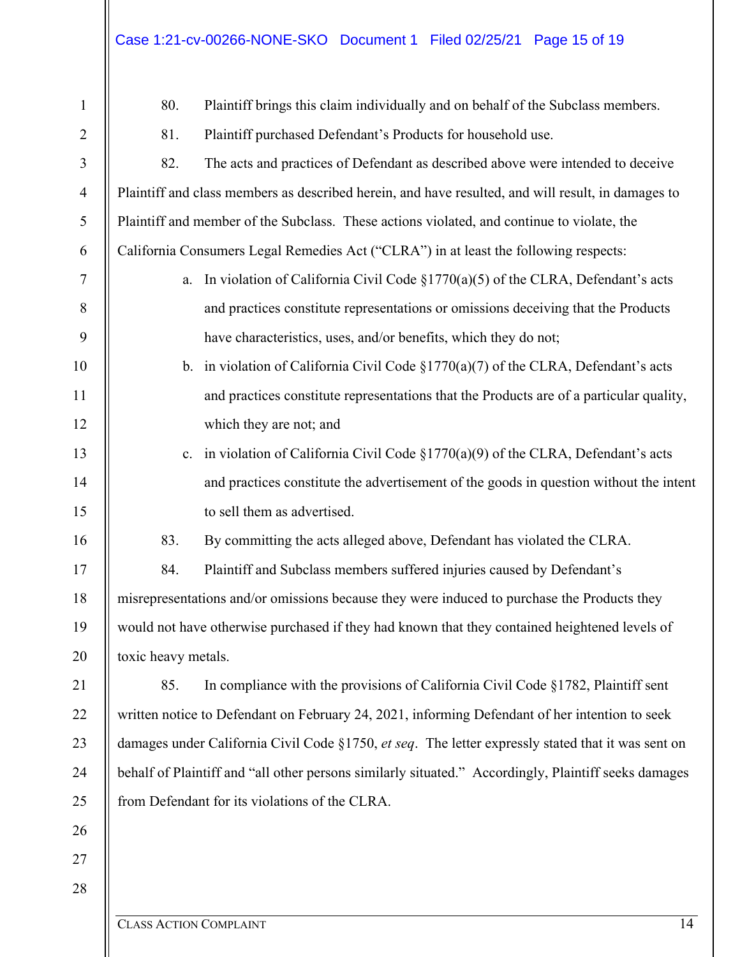#### Case 1:21-cv-00266-NONE-SKO Document 1 Filed 02/25/21 Page 15 of 19

80. Plaintiff brings this claim individually and on behalf of the Subclass members.

81. Plaintiff purchased Defendant's Products for household use.

3 4 5 6 7 8 9 10 11 12 13 14 15 16 17 18 19 20 21 22 23 24 25 26 27 28 82. The acts and practices of Defendant as described above were intended to deceive Plaintiff and class members as described herein, and have resulted, and will result, in damages to Plaintiff and member of the Subclass. These actions violated, and continue to violate, the California Consumers Legal Remedies Act ("CLRA") in at least the following respects: a. In violation of California Civil Code  $\S1770(a)(5)$  of the CLRA, Defendant's acts and practices constitute representations or omissions deceiving that the Products have characteristics, uses, and/or benefits, which they do not; b. in violation of California Civil Code  $\S1770(a)(7)$  of the CLRA, Defendant's acts and practices constitute representations that the Products are of a particular quality, which they are not; and c. in violation of California Civil Code  $\S1770(a)(9)$  of the CLRA, Defendant's acts and practices constitute the advertisement of the goods in question without the intent to sell them as advertised. 83. By committing the acts alleged above, Defendant has violated the CLRA. 84. Plaintiff and Subclass members suffered injuries caused by Defendant's misrepresentations and/or omissions because they were induced to purchase the Products they would not have otherwise purchased if they had known that they contained heightened levels of toxic heavy metals. 85. In compliance with the provisions of California Civil Code §1782, Plaintiff sent written notice to Defendant on February 24, 2021, informing Defendant of her intention to seek damages under California Civil Code §1750, *et seq*. The letter expressly stated that it was sent on behalf of Plaintiff and "all other persons similarly situated." Accordingly, Plaintiff seeks damages from Defendant for its violations of the CLRA.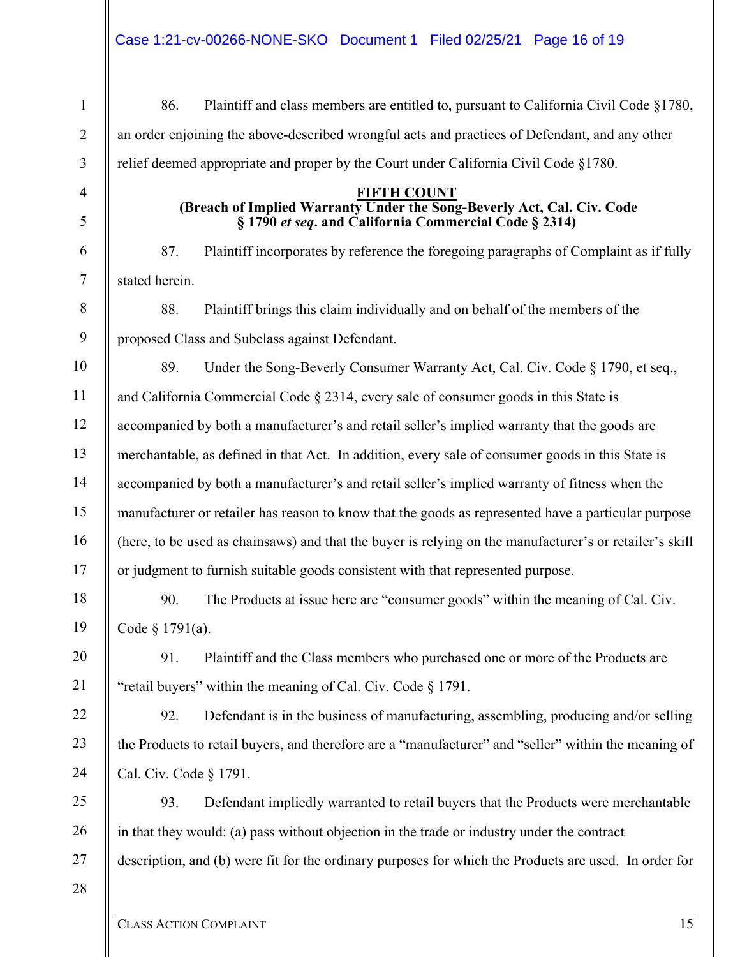1 2 3 4 5 6 7 8 9 10 11 12 13 14 15 16 17 18 19 20 21 22 23 24 25 26 27 86. Plaintiff and class members are entitled to, pursuant to California Civil Code §1780, an order enjoining the above-described wrongful acts and practices of Defendant, and any other relief deemed appropriate and proper by the Court under California Civil Code §1780. **FIFTH COUNT (Breach of Implied Warranty Under the Song-Beverly Act, Cal. Civ. Code § 1790** *et seq***. and California Commercial Code § 2314)**  87. Plaintiff incorporates by reference the foregoing paragraphs of Complaint as if fully stated herein. 88. Plaintiff brings this claim individually and on behalf of the members of the proposed Class and Subclass against Defendant. 89. Under the Song-Beverly Consumer Warranty Act, Cal. Civ. Code § 1790, et seq., and California Commercial Code § 2314, every sale of consumer goods in this State is accompanied by both a manufacturer's and retail seller's implied warranty that the goods are merchantable, as defined in that Act. In addition, every sale of consumer goods in this State is accompanied by both a manufacturer's and retail seller's implied warranty of fitness when the manufacturer or retailer has reason to know that the goods as represented have a particular purpose (here, to be used as chainsaws) and that the buyer is relying on the manufacturer's or retailer's skill or judgment to furnish suitable goods consistent with that represented purpose. 90. The Products at issue here are "consumer goods" within the meaning of Cal. Civ. Code § 1791(a). 91. Plaintiff and the Class members who purchased one or more of the Products are "retail buyers" within the meaning of Cal. Civ. Code § 1791. 92. Defendant is in the business of manufacturing, assembling, producing and/or selling the Products to retail buyers, and therefore are a "manufacturer" and "seller" within the meaning of Cal. Civ. Code § 1791. 93. Defendant impliedly warranted to retail buyers that the Products were merchantable in that they would: (a) pass without objection in the trade or industry under the contract description, and (b) were fit for the ordinary purposes for which the Products are used. In order for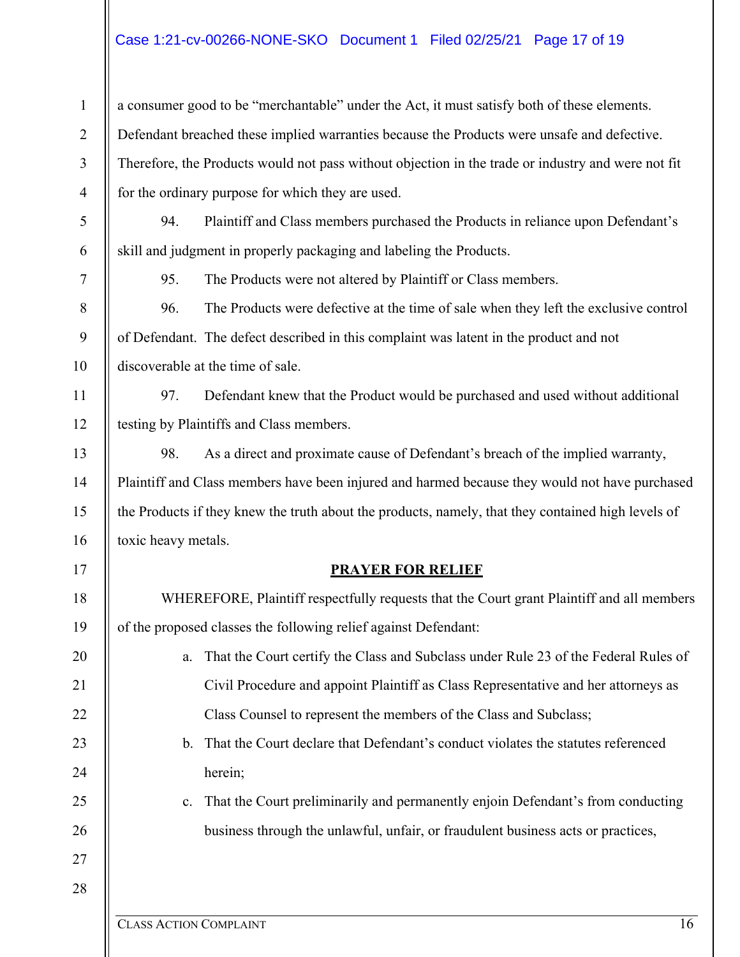# Case 1:21-cv-00266-NONE-SKO Document 1 Filed 02/25/21 Page 17 of 19

| $\mathbf{1}$   | a consumer good to be "merchantable" under the Act, it must satisfy both of these elements.        |  |  |  |  |  |
|----------------|----------------------------------------------------------------------------------------------------|--|--|--|--|--|
| $\overline{2}$ | Defendant breached these implied warranties because the Products were unsafe and defective.        |  |  |  |  |  |
| $\mathfrak{Z}$ | Therefore, the Products would not pass without objection in the trade or industry and were not fit |  |  |  |  |  |
| $\overline{4}$ | for the ordinary purpose for which they are used.                                                  |  |  |  |  |  |
| $\mathfrak s$  | Plaintiff and Class members purchased the Products in reliance upon Defendant's<br>94.             |  |  |  |  |  |
| 6              | skill and judgment in properly packaging and labeling the Products.                                |  |  |  |  |  |
| $\tau$         | The Products were not altered by Plaintiff or Class members.<br>95.                                |  |  |  |  |  |
| $8\,$          | The Products were defective at the time of sale when they left the exclusive control<br>96.        |  |  |  |  |  |
| 9              | of Defendant. The defect described in this complaint was latent in the product and not             |  |  |  |  |  |
| 10             | discoverable at the time of sale.                                                                  |  |  |  |  |  |
| 11             | Defendant knew that the Product would be purchased and used without additional<br>97.              |  |  |  |  |  |
| 12             | testing by Plaintiffs and Class members.                                                           |  |  |  |  |  |
| 13             | As a direct and proximate cause of Defendant's breach of the implied warranty,<br>98.              |  |  |  |  |  |
| 14             | Plaintiff and Class members have been injured and harmed because they would not have purchased     |  |  |  |  |  |
| 15             | the Products if they knew the truth about the products, namely, that they contained high levels of |  |  |  |  |  |
| 16             | toxic heavy metals.                                                                                |  |  |  |  |  |
| 17             | <b>PRAYER FOR RELIEF</b>                                                                           |  |  |  |  |  |
| 18             | WHEREFORE, Plaintiff respectfully requests that the Court grant Plaintiff and all members          |  |  |  |  |  |
| 19             | of the proposed classes the following relief against Defendant:                                    |  |  |  |  |  |
| 20             | That the Court certify the Class and Subclass under Rule 23 of the Federal Rules of<br>a.          |  |  |  |  |  |
| 21             | Civil Procedure and appoint Plaintiff as Class Representative and her attorneys as                 |  |  |  |  |  |
| 22             | Class Counsel to represent the members of the Class and Subclass;                                  |  |  |  |  |  |
| 23             | That the Court declare that Defendant's conduct violates the statutes referenced<br>$\mathbf{b}$ . |  |  |  |  |  |
| 24             | herein;                                                                                            |  |  |  |  |  |
| 25             | That the Court preliminarily and permanently enjoin Defendant's from conducting<br>$\mathbf{c}$ .  |  |  |  |  |  |
| 26             | business through the unlawful, unfair, or fraudulent business acts or practices,                   |  |  |  |  |  |
| 27             |                                                                                                    |  |  |  |  |  |
| 28             |                                                                                                    |  |  |  |  |  |
|                | 16<br><b>CLASS ACTION COMPLAINT</b>                                                                |  |  |  |  |  |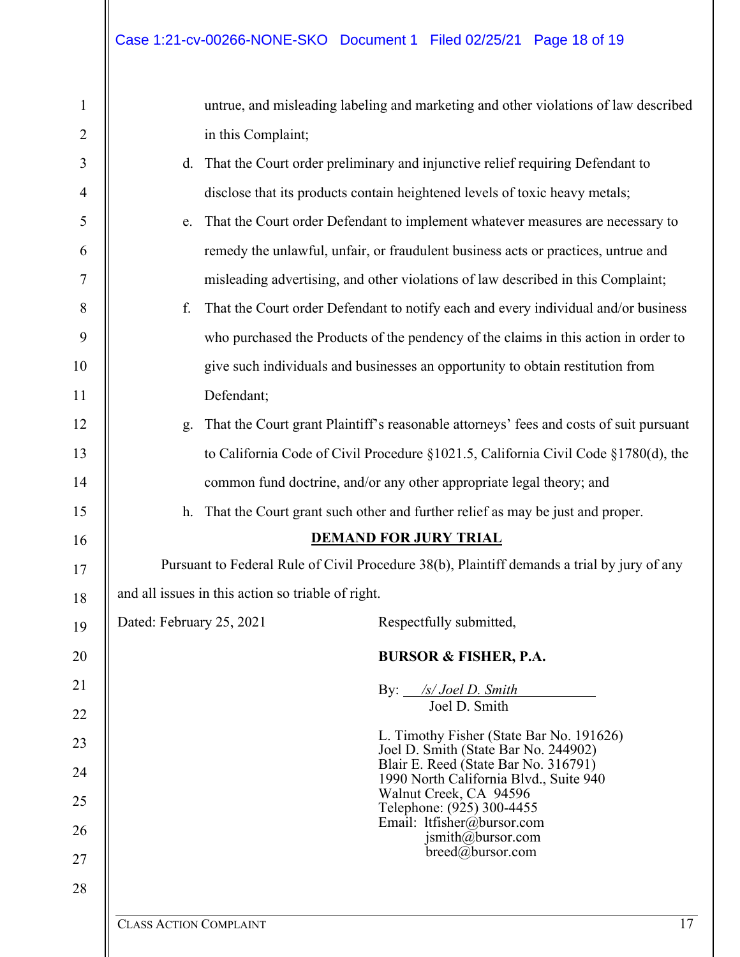| $\mathbf{1}$   |                                                                                             | untrue, and misleading labeling and marketing and other violations of law described |                                                                                        |    |  |  |
|----------------|---------------------------------------------------------------------------------------------|-------------------------------------------------------------------------------------|----------------------------------------------------------------------------------------|----|--|--|
| $\overline{2}$ |                                                                                             | in this Complaint;                                                                  |                                                                                        |    |  |  |
| 3              | d.                                                                                          | That the Court order preliminary and injunctive relief requiring Defendant to       |                                                                                        |    |  |  |
| 4              |                                                                                             |                                                                                     | disclose that its products contain heightened levels of toxic heavy metals;            |    |  |  |
| 5              | e.                                                                                          |                                                                                     | That the Court order Defendant to implement whatever measures are necessary to         |    |  |  |
| 6              |                                                                                             |                                                                                     | remedy the unlawful, unfair, or fraudulent business acts or practices, untrue and      |    |  |  |
| 7              |                                                                                             |                                                                                     | misleading advertising, and other violations of law described in this Complaint;       |    |  |  |
| 8              | f.                                                                                          |                                                                                     | That the Court order Defendant to notify each and every individual and/or business     |    |  |  |
| 9              |                                                                                             |                                                                                     | who purchased the Products of the pendency of the claims in this action in order to    |    |  |  |
| 10             |                                                                                             |                                                                                     | give such individuals and businesses an opportunity to obtain restitution from         |    |  |  |
| 11             |                                                                                             | Defendant;                                                                          |                                                                                        |    |  |  |
| 12             | g.                                                                                          |                                                                                     | That the Court grant Plaintiff's reasonable attorneys' fees and costs of suit pursuant |    |  |  |
| 13             |                                                                                             |                                                                                     | to California Code of Civil Procedure §1021.5, California Civil Code §1780(d), the     |    |  |  |
| 14             |                                                                                             |                                                                                     | common fund doctrine, and/or any other appropriate legal theory; and                   |    |  |  |
| 15             | h.                                                                                          | That the Court grant such other and further relief as may be just and proper.       |                                                                                        |    |  |  |
| 16             |                                                                                             |                                                                                     | <b>DEMAND FOR JURY TRIAL</b>                                                           |    |  |  |
| 17             | Pursuant to Federal Rule of Civil Procedure 38(b), Plaintiff demands a trial by jury of any |                                                                                     |                                                                                        |    |  |  |
| 18             |                                                                                             | and all issues in this action so triable of right.                                  |                                                                                        |    |  |  |
| 19             | Dated: February 25, 2021                                                                    |                                                                                     | Respectfully submitted,                                                                |    |  |  |
| 20             |                                                                                             |                                                                                     | <b>BURSOR &amp; FISHER, P.A.</b>                                                       |    |  |  |
| 21             |                                                                                             |                                                                                     | /s/Joel D. Smith<br>By:                                                                |    |  |  |
| 22             |                                                                                             |                                                                                     | Joel D. Smith                                                                          |    |  |  |
| 23             |                                                                                             |                                                                                     | L. Timothy Fisher (State Bar No. 191626)<br>Joel D. Smith (State Bar No. 244902)       |    |  |  |
| 24             |                                                                                             |                                                                                     | Blair E. Reed (State Bar No. 316791)<br>1990 North California Blvd., Suite 940         |    |  |  |
| 25             |                                                                                             |                                                                                     | Walnut Creek, CA 94596<br>Telephone: (925) 300-4455                                    |    |  |  |
| 26             |                                                                                             |                                                                                     | Email: ltfisher@bursor.com<br>$j$ smith@bursor.com                                     |    |  |  |
| 27             |                                                                                             |                                                                                     | breed@bursor.com                                                                       |    |  |  |
| 28             |                                                                                             |                                                                                     |                                                                                        |    |  |  |
|                | <b>CLASS ACTION COMPLAINT</b>                                                               |                                                                                     |                                                                                        | 17 |  |  |

 $\overline{\phantom{a}}$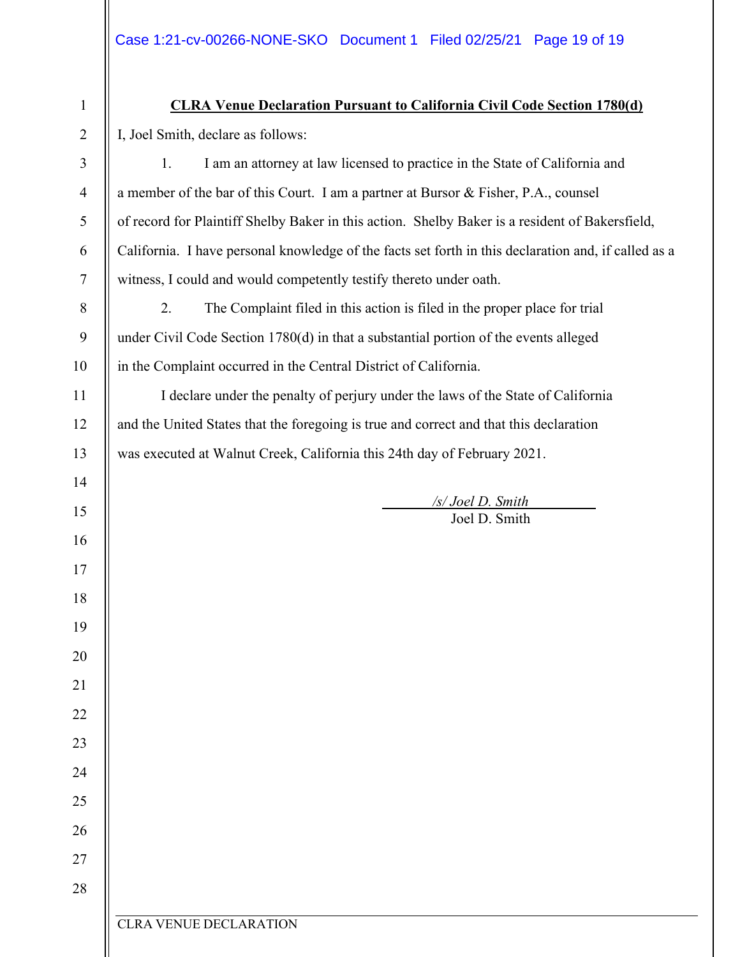| $\mathbf{1}$   | <b>CLRA Venue Declaration Pursuant to California Civil Code Section 1780(d)</b>                      |  |  |  |  |
|----------------|------------------------------------------------------------------------------------------------------|--|--|--|--|
| $\overline{2}$ | I, Joel Smith, declare as follows:                                                                   |  |  |  |  |
| 3              | I am an attorney at law licensed to practice in the State of California and<br>1.                    |  |  |  |  |
| $\overline{4}$ | a member of the bar of this Court. I am a partner at Bursor & Fisher, P.A., counsel                  |  |  |  |  |
| 5              | of record for Plaintiff Shelby Baker in this action. Shelby Baker is a resident of Bakersfield,      |  |  |  |  |
| 6              | California. I have personal knowledge of the facts set forth in this declaration and, if called as a |  |  |  |  |
| $\overline{7}$ | witness, I could and would competently testify thereto under oath.                                   |  |  |  |  |
| $8\,$          | 2.<br>The Complaint filed in this action is filed in the proper place for trial                      |  |  |  |  |
| 9              | under Civil Code Section 1780(d) in that a substantial portion of the events alleged                 |  |  |  |  |
| 10             | in the Complaint occurred in the Central District of California.                                     |  |  |  |  |
| 11             | I declare under the penalty of perjury under the laws of the State of California                     |  |  |  |  |
| 12             | and the United States that the foregoing is true and correct and that this declaration               |  |  |  |  |
| 13             | was executed at Walnut Creek, California this 24th day of February 2021.                             |  |  |  |  |
| 14             |                                                                                                      |  |  |  |  |
| 15             | /s/ Joel D. Smith<br>Joel D. Smith                                                                   |  |  |  |  |
| 16             |                                                                                                      |  |  |  |  |
| 17             |                                                                                                      |  |  |  |  |
| 18             |                                                                                                      |  |  |  |  |
| 19             |                                                                                                      |  |  |  |  |
| 20             |                                                                                                      |  |  |  |  |
| 21             |                                                                                                      |  |  |  |  |
| 22             |                                                                                                      |  |  |  |  |
| 23             |                                                                                                      |  |  |  |  |
| 24             |                                                                                                      |  |  |  |  |
| 25             |                                                                                                      |  |  |  |  |
| 26             |                                                                                                      |  |  |  |  |
| 27             |                                                                                                      |  |  |  |  |
| 28             |                                                                                                      |  |  |  |  |